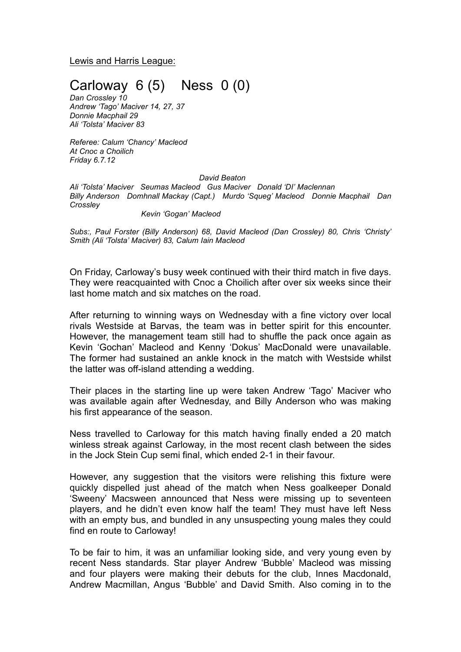Lewis and Harris League:

## Carloway  $6(5)$  Ness  $0(0)$

*Dan Crossley 10 Andrew 'Tago' Maciver 14, 27, 37 Donnie Macphail 29 Ali 'Tolsta' Maciver 83*

*Referee: Calum 'Chancy' Macleod At Cnoc a Choilich Friday 6.7.12*

## *David Beaton*

*Ali 'Tolsta' Maciver Seumas Macleod Gus Maciver Donald 'DI' Maclennan Billy Anderson Domhnall Mackay (Capt.) Murdo 'Squeg' Macleod Donnie Macphail Dan Crossley*

*Kevin 'Gogan' Macleod*

*Subs:, Paul Forster (Billy Anderson) 68, David Macleod (Dan Crossley) 80, Chris 'Christy' Smith (Ali 'Tolsta' Maciver) 83, Calum Iain Macleod*

On Friday, Carloway's busy week continued with their third match in five days. They were reacquainted with Cnoc a Choilich after over six weeks since their last home match and six matches on the road.

After returning to winning ways on Wednesday with a fine victory over local rivals Westside at Barvas, the team was in better spirit for this encounter. However, the management team still had to shuffle the pack once again as Kevin 'Gochan' Macleod and Kenny 'Dokus' MacDonald were unavailable. The former had sustained an ankle knock in the match with Westside whilst the latter was off-island attending a wedding.

Their places in the starting line up were taken Andrew 'Tago' Maciver who was available again after Wednesday, and Billy Anderson who was making his first appearance of the season.

Ness travelled to Carloway for this match having finally ended a 20 match winless streak against Carloway, in the most recent clash between the sides in the Jock Stein Cup semi final, which ended 2-1 in their favour.

However, any suggestion that the visitors were relishing this fixture were quickly dispelled just ahead of the match when Ness goalkeeper Donald 'Sweeny' Macsween announced that Ness were missing up to seventeen players, and he didn't even know half the team! They must have left Ness with an empty bus, and bundled in any unsuspecting young males they could find en route to Carloway!

To be fair to him, it was an unfamiliar looking side, and very young even by recent Ness standards. Star player Andrew 'Bubble' Macleod was missing and four players were making their debuts for the club, Innes Macdonald, Andrew Macmillan, Angus 'Bubble' and David Smith. Also coming in to the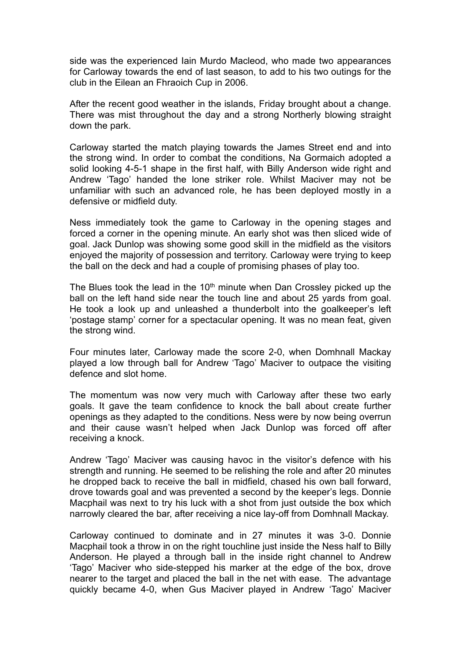side was the experienced Iain Murdo Macleod, who made two appearances for Carloway towards the end of last season, to add to his two outings for the club in the Eilean an Fhraoich Cup in 2006.

After the recent good weather in the islands, Friday brought about a change. There was mist throughout the day and a strong Northerly blowing straight down the park.

Carloway started the match playing towards the James Street end and into the strong wind. In order to combat the conditions, Na Gormaich adopted a solid looking 4-5-1 shape in the first half, with Billy Anderson wide right and Andrew 'Tago' handed the lone striker role. Whilst Maciver may not be unfamiliar with such an advanced role, he has been deployed mostly in a defensive or midfield duty.

Ness immediately took the game to Carloway in the opening stages and forced a corner in the opening minute. An early shot was then sliced wide of goal. Jack Dunlop was showing some good skill in the midfield as the visitors enjoyed the majority of possession and territory. Carloway were trying to keep the ball on the deck and had a couple of promising phases of play too.

The Blues took the lead in the  $10<sup>th</sup>$  minute when Dan Crossley picked up the ball on the left hand side near the touch line and about 25 yards from goal. He took a look up and unleashed a thunderbolt into the goalkeeper's left 'postage stamp' corner for a spectacular opening. It was no mean feat, given the strong wind.

Four minutes later, Carloway made the score 2-0, when Domhnall Mackay played a low through ball for Andrew 'Tago' Maciver to outpace the visiting defence and slot home.

The momentum was now very much with Carloway after these two early goals. It gave the team confidence to knock the ball about create further openings as they adapted to the conditions. Ness were by now being overrun and their cause wasn't helped when Jack Dunlop was forced off after receiving a knock.

Andrew 'Tago' Maciver was causing havoc in the visitor's defence with his strength and running. He seemed to be relishing the role and after 20 minutes he dropped back to receive the ball in midfield, chased his own ball forward, drove towards goal and was prevented a second by the keeper's legs. Donnie Macphail was next to try his luck with a shot from just outside the box which narrowly cleared the bar, after receiving a nice lay-off from Domhnall Mackay.

Carloway continued to dominate and in 27 minutes it was 3-0. Donnie Macphail took a throw in on the right touchline just inside the Ness half to Billy Anderson. He played a through ball in the inside right channel to Andrew 'Tago' Maciver who side-stepped his marker at the edge of the box, drove nearer to the target and placed the ball in the net with ease. The advantage quickly became 4-0, when Gus Maciver played in Andrew 'Tago' Maciver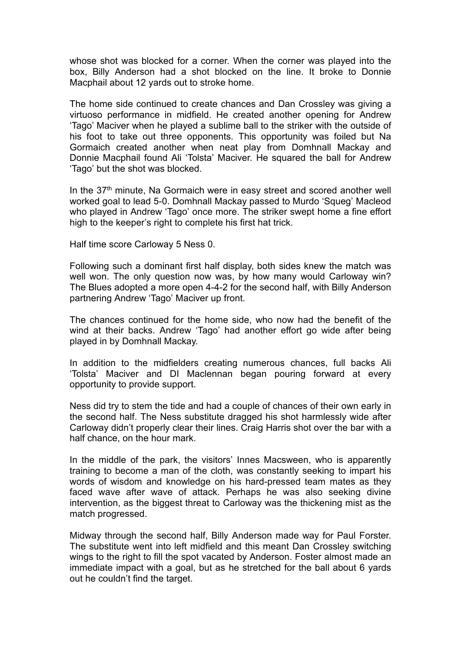whose shot was blocked for a corner. When the corner was played into the box, Billy Anderson had a shot blocked on the line. It broke to Donnie Macphail about 12 yards out to stroke home.

The home side continued to create chances and Dan Crossley was giving a virtuoso performance in midfield. He created another opening for Andrew 'Tago' Maciver when he played a sublime ball to the striker with the outside of his foot to take out three opponents. This opportunity was foiled but Na Gormaich created another when neat play from Domhnall Mackay and Donnie Macphail found Ali 'Tolsta' Maciver. He squared the ball for Andrew 'Tago' but the shot was blocked.

In the 37<sup>th</sup> minute, Na Gormaich were in easy street and scored another well worked goal to lead 5-0. Domhnall Mackay passed to Murdo 'Squeg' Macleod who played in Andrew 'Tago' once more. The striker swept home a fine effort high to the keeper's right to complete his first hat trick.

Half time score Carloway 5 Ness 0.

Following such a dominant first half display, both sides knew the match was well won. The only question now was, by how many would Carloway win? The Blues adopted a more open 4-4-2 for the second half, with Billy Anderson partnering Andrew 'Tago' Maciver up front.

The chances continued for the home side, who now had the benefit of the wind at their backs. Andrew 'Tago' had another effort go wide after being played in by Domhnall Mackay.

In addition to the midfielders creating numerous chances, full backs Ali 'Tolsta' Maciver and DI Maclennan began pouring forward at every opportunity to provide support.

Ness did try to stem the tide and had a couple of chances of their own early in the second half. The Ness substitute dragged his shot harmlessly wide after Carloway didn't properly clear their lines. Craig Harris shot over the bar with a half chance, on the hour mark.

In the middle of the park, the visitors' Innes Macsween, who is apparently training to become a man of the cloth, was constantly seeking to impart his words of wisdom and knowledge on his hard-pressed team mates as they faced wave after wave of attack. Perhaps he was also seeking divine intervention, as the biggest threat to Carloway was the thickening mist as the match progressed.

Midway through the second half, Billy Anderson made way for Paul Forster. The substitute went into left midfield and this meant Dan Crossley switching wings to the right to fill the spot vacated by Anderson. Foster almost made an immediate impact with a goal, but as he stretched for the ball about 6 yards out he couldn't find the target.